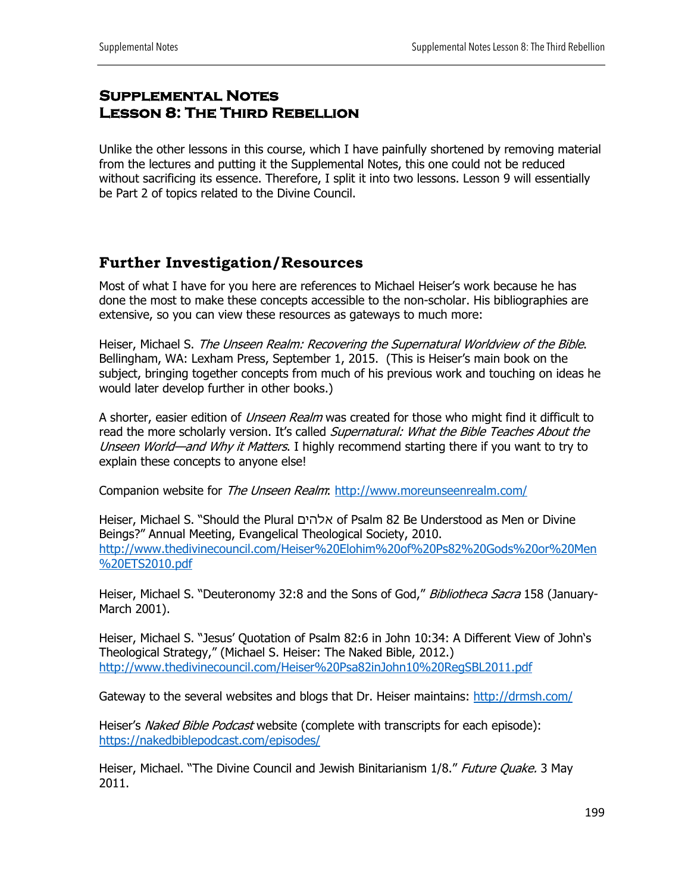## **Supplemental Notes Lesson 8: The Third Rebellion**

Unlike the other lessons in this course, which I have painfully shortened by removing material from the lectures and putting it the Supplemental Notes, this one could not be reduced without sacrificing its essence. Therefore, I split it into two lessons. Lesson 9 will essentially be Part 2 of topics related to the Divine Council.

## **Further Investigation/Resources**

Most of what I have for you here are references to Michael Heiser's work because he has done the most to make these concepts accessible to the non-scholar. His bibliographies are extensive, so you can view these resources as gateways to much more:

Heiser, Michael S. The Unseen Realm: Recovering the Supernatural Worldview of the Bible. Bellingham, WA: Lexham Press, September 1, 2015. (This is Heiser's main book on the subject, bringing together concepts from much of his previous work and touching on ideas he would later develop further in other books.)

A shorter, easier edition of *Unseen Realm* was created for those who might find it difficult to read the more scholarly version. It's called Supernatural: What the Bible Teaches About the Unseen World—and Why it Matters. I highly recommend starting there if you want to try to explain these concepts to anyone else!

Companion website for The Unseen Realm: http://www.moreunseenrealm.com/

Heiser, Michael S. "Should the Plural םיהלא of Psalm 82 Be Understood as Men or Divine Beings?" Annual Meeting, Evangelical Theological Society, 2010. http://www.thedivinecouncil.com/Heiser%20Elohim%20of%20Ps82%20Gods%20or%20Men %20ETS2010.pdf

Heiser, Michael S. "Deuteronomy 32:8 and the Sons of God," Bibliotheca Sacra 158 (January-March 2001).

Heiser, Michael S. "Jesus' Quotation of Psalm 82:6 in John 10:34: A Different View of John's Theological Strategy," (Michael S. Heiser: The Naked Bible, 2012.) http://www.thedivinecouncil.com/Heiser%20Psa82inJohn10%20RegSBL2011.pdf

Gateway to the several websites and blogs that Dr. Heiser maintains: http://drmsh.com/

Heiser's *Naked Bible Podcast* website (complete with transcripts for each episode): https://nakedbiblepodcast.com/episodes/

Heiser, Michael. "The Divine Council and Jewish Binitarianism 1/8." Future Ouake. 3 May 2011.